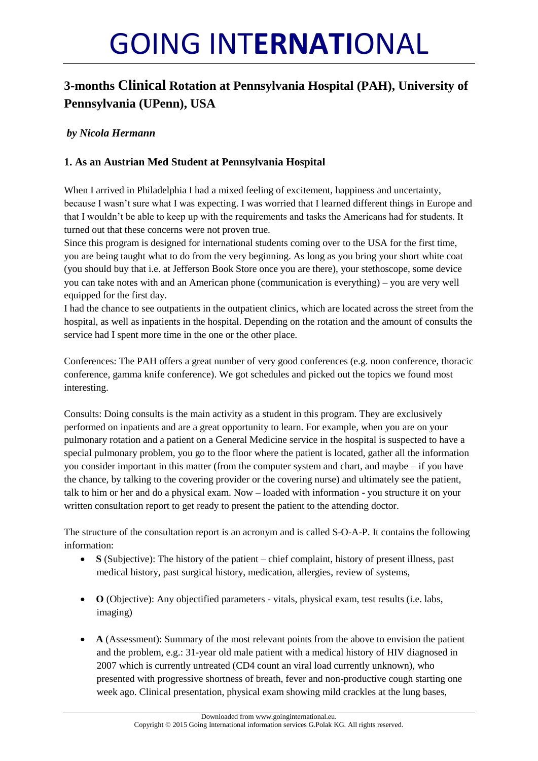# GOING INT**ERNATI**ONAL

# **3-months Clinical Rotation at Pennsylvania Hospital (PAH), University of Pennsylvania (UPenn), USA**

# *by Nicola Hermann*

# **1. As an Austrian Med Student at Pennsylvania Hospital**

When I arrived in Philadelphia I had a mixed feeling of excitement, happiness and uncertainty, because I wasn't sure what I was expecting. I was worried that I learned different things in Europe and that I wouldn't be able to keep up with the requirements and tasks the Americans had for students. It turned out that these concerns were not proven true.

Since this program is designed for international students coming over to the USA for the first time, you are being taught what to do from the very beginning. As long as you bring your short white coat (you should buy that i.e. at Jefferson Book Store once you are there), your stethoscope, some device you can take notes with and an American phone (communication is everything) – you are very well equipped for the first day.

I had the chance to see outpatients in the outpatient clinics, which are located across the street from the hospital, as well as inpatients in the hospital. Depending on the rotation and the amount of consults the service had I spent more time in the one or the other place.

Conferences: The PAH offers a great number of very good conferences (e.g. noon conference, thoracic conference, gamma knife conference). We got schedules and picked out the topics we found most interesting.

Consults: Doing consults is the main activity as a student in this program. They are exclusively performed on inpatients and are a great opportunity to learn. For example, when you are on your pulmonary rotation and a patient on a General Medicine service in the hospital is suspected to have a special pulmonary problem, you go to the floor where the patient is located, gather all the information you consider important in this matter (from the computer system and chart, and maybe – if you have the chance, by talking to the covering provider or the covering nurse) and ultimately see the patient, talk to him or her and do a physical exam. Now – loaded with information - you structure it on your written consultation report to get ready to present the patient to the attending doctor.

The structure of the consultation report is an acronym and is called S-O-A-P. It contains the following information:

- **S** (Subjective): The history of the patient chief complaint, history of present illness, past medical history, past surgical history, medication, allergies, review of systems,
- **O** (Objective): Any objectified parameters vitals, physical exam, test results (i.e. labs, imaging)
- **A** (Assessment): Summary of the most relevant points from the above to envision the patient and the problem, e.g.: 31-year old male patient with a medical history of HIV diagnosed in 2007 which is currently untreated (CD4 count an viral load currently unknown), who presented with progressive shortness of breath, fever and non-productive cough starting one week ago. Clinical presentation, physical exam showing mild crackles at the lung bases,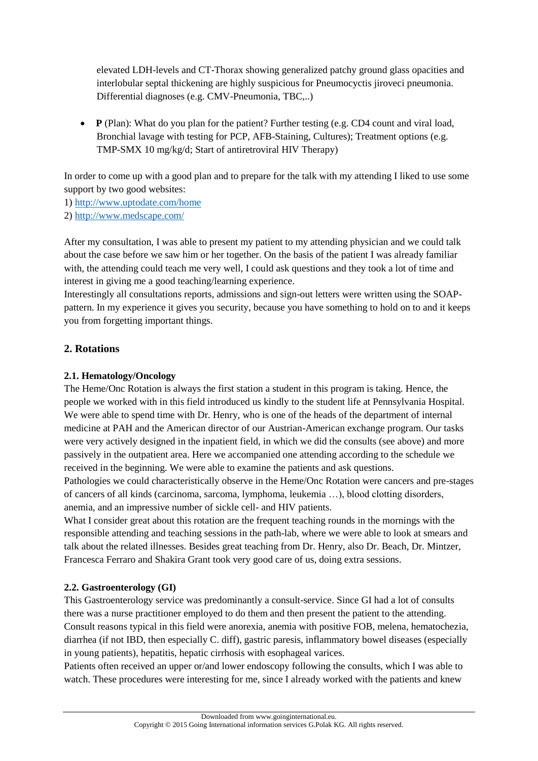elevated LDH-levels and CT-Thorax showing generalized patchy ground glass opacities and interlobular septal thickening are highly suspicious for Pneumocyctis jiroveci pneumonia. Differential diagnoses (e.g. CMV-Pneumonia, TBC,..)

• **P** (Plan): What do you plan for the patient? Further testing (e.g. CD4 count and viral load, Bronchial lavage with testing for PCP, AFB-Staining, Cultures); Treatment options (e.g. TMP-SMX 10 mg/kg/d; Start of antiretroviral HIV Therapy)

In order to come up with a good plan and to prepare for the talk with my attending I liked to use some support by two good websites:

1)<http://www.uptodate.com/home>

2)<http://www.medscape.com/>

After my consultation, I was able to present my patient to my attending physician and we could talk about the case before we saw him or her together. On the basis of the patient I was already familiar with, the attending could teach me very well, I could ask questions and they took a lot of time and interest in giving me a good teaching/learning experience.

Interestingly all consultations reports, admissions and sign-out letters were written using the SOAPpattern. In my experience it gives you security, because you have something to hold on to and it keeps you from forgetting important things.

## **2. Rotations**

#### **2.1. Hematology/Oncology**

The Heme/Onc Rotation is always the first station a student in this program is taking. Hence, the people we worked with in this field introduced us kindly to the student life at Pennsylvania Hospital. We were able to spend time with Dr. Henry, who is one of the heads of the department of internal medicine at PAH and the American director of our Austrian-American exchange program. Our tasks were very actively designed in the inpatient field, in which we did the consults (see above) and more passively in the outpatient area. Here we accompanied one attending according to the schedule we received in the beginning. We were able to examine the patients and ask questions.

Pathologies we could characteristically observe in the Heme/Onc Rotation were cancers and pre-stages of cancers of all kinds (carcinoma, sarcoma, lymphoma, leukemia …), blood clotting disorders, anemia, and an impressive number of sickle cell- and HIV patients.

What I consider great about this rotation are the frequent teaching rounds in the mornings with the responsible attending and teaching sessions in the path-lab, where we were able to look at smears and talk about the related illnesses. Besides great teaching from Dr. Henry, also Dr. Beach, Dr. Mintzer, Francesca Ferraro and Shakira Grant took very good care of us, doing extra sessions.

#### **2.2. Gastroenterology (GI)**

This Gastroenterology service was predominantly a consult-service. Since GI had a lot of consults there was a nurse practitioner employed to do them and then present the patient to the attending. Consult reasons typical in this field were anorexia, anemia with positive FOB, melena, hematochezia, diarrhea (if not IBD, then especially C. diff), gastric paresis, inflammatory bowel diseases (especially in young patients), hepatitis, hepatic cirrhosis with esophageal varices.

Patients often received an upper or/and lower endoscopy following the consults, which I was able to watch. These procedures were interesting for me, since I already worked with the patients and knew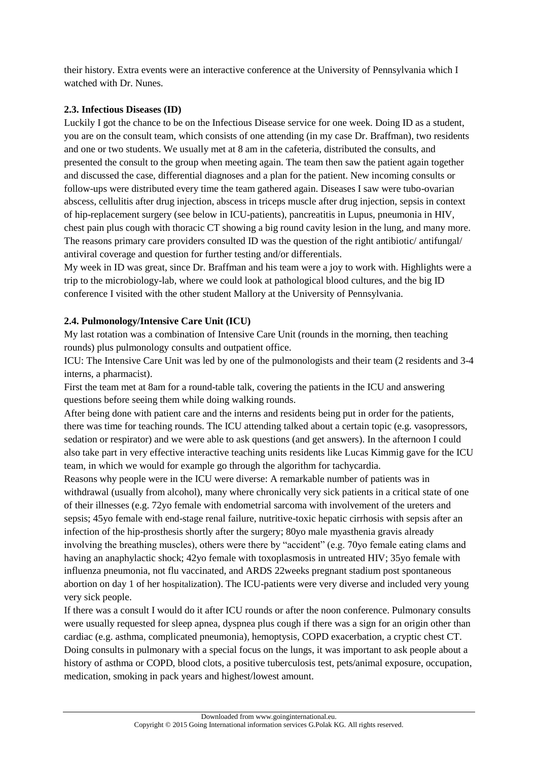their history. Extra events were an interactive conference at the University of Pennsylvania which I watched with Dr. Nunes.

#### **2.3. Infectious Diseases (ID)**

Luckily I got the chance to be on the Infectious Disease service for one week. Doing ID as a student, you are on the consult team, which consists of one attending (in my case Dr. Braffman), two residents and one or two students. We usually met at 8 am in the cafeteria, distributed the consults, and presented the consult to the group when meeting again. The team then saw the patient again together and discussed the case, differential diagnoses and a plan for the patient. New incoming consults or follow-ups were distributed every time the team gathered again. Diseases I saw were tubo-ovarian abscess, cellulitis after drug injection, abscess in triceps muscle after drug injection, sepsis in context of hip-replacement surgery (see below in ICU-patients), pancreatitis in Lupus, pneumonia in HIV, chest pain plus cough with thoracic CT showing a big round cavity lesion in the lung, and many more. The reasons primary care providers consulted ID was the question of the right antibiotic/ antifungal/ antiviral coverage and question for further testing and/or differentials.

My week in ID was great, since Dr. Braffman and his team were a joy to work with. Highlights were a trip to the microbiology-lab, where we could look at pathological blood cultures, and the big ID conference I visited with the other student Mallory at the University of Pennsylvania.

#### **2.4. Pulmonology/Intensive Care Unit (ICU)**

My last rotation was a combination of Intensive Care Unit (rounds in the morning, then teaching rounds) plus pulmonology consults and outpatient office.

ICU: The Intensive Care Unit was led by one of the pulmonologists and their team (2 residents and 3-4 interns, a pharmacist).

First the team met at 8am for a round-table talk, covering the patients in the ICU and answering questions before seeing them while doing walking rounds.

After being done with patient care and the interns and residents being put in order for the patients, there was time for teaching rounds. The ICU attending talked about a certain topic (e.g. vasopressors, sedation or respirator) and we were able to ask questions (and get answers). In the afternoon I could also take part in very effective interactive teaching units residents like Lucas Kimmig gave for the ICU team, in which we would for example go through the algorithm for tachycardia.

Reasons why people were in the ICU were diverse: A remarkable number of patients was in withdrawal (usually from alcohol), many where chronically very sick patients in a critical state of one of their illnesses (e.g. 72yo female with endometrial sarcoma with involvement of the ureters and sepsis; 45yo female with end-stage renal failure, nutritive-toxic hepatic cirrhosis with sepsis after an infection of the hip-prosthesis shortly after the surgery; 80yo male myasthenia gravis already involving the breathing muscles), others were there by "accident" (e.g. 70yo female eating clams and having an anaphylactic shock; 42yo female with toxoplasmosis in untreated HIV; 35yo female with influenza pneumonia, not flu vaccinated, and ARDS 22weeks pregnant stadium post spontaneous abortion on day 1 of her hospitalization). The ICU-patients were very diverse and included very young very sick people.

If there was a consult I would do it after ICU rounds or after the noon conference. Pulmonary consults were usually requested for sleep apnea, dyspnea plus cough if there was a sign for an origin other than cardiac (e.g. asthma, complicated pneumonia), hemoptysis, COPD exacerbation, a cryptic chest CT. Doing consults in pulmonary with a special focus on the lungs, it was important to ask people about a history of asthma or COPD, blood clots, a positive tuberculosis test, pets/animal exposure, occupation, medication, smoking in pack years and highest/lowest amount.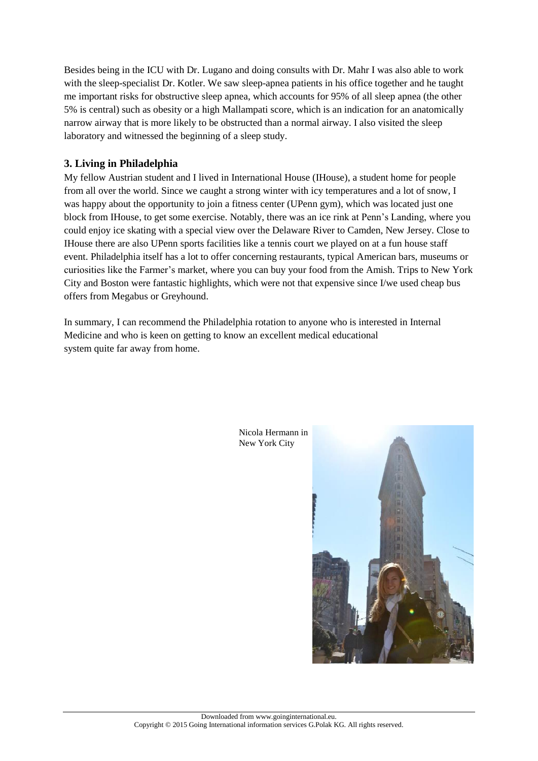Besides being in the ICU with Dr. Lugano and doing consults with Dr. Mahr I was also able to work with the sleep-specialist Dr. Kotler. We saw sleep-apnea patients in his office together and he taught me important risks for obstructive sleep apnea, which accounts for 95% of all sleep apnea (the other 5% is central) such as obesity or a high Mallampati score, which is an indication for an anatomically narrow airway that is more likely to be obstructed than a normal airway. I also visited the sleep laboratory and witnessed the beginning of a sleep study.

## **3. Living in Philadelphia**

My fellow Austrian student and I lived in International House (IHouse), a student home for people from all over the world. Since we caught a strong winter with icy temperatures and a lot of snow, I was happy about the opportunity to join a fitness center (UPenn gym), which was located just one block from IHouse, to get some exercise. Notably, there was an ice rink at Penn's Landing, where you could enjoy ice skating with a special view over the Delaware River to Camden, New Jersey. Close to IHouse there are also UPenn sports facilities like a tennis court we played on at a fun house staff event. Philadelphia itself has a lot to offer concerning restaurants, typical American bars, museums or curiosities like the Farmer's market, where you can buy your food from the Amish. Trips to New York City and Boston were fantastic highlights, which were not that expensive since I/we used cheap bus offers from Megabus or Greyhound.

In summary, I can recommend the Philadelphia rotation to anyone who is interested in Internal Medicine and who is keen on getting to know an excellent medical educational system quite far away from home.



Nicola Hermann in New York City